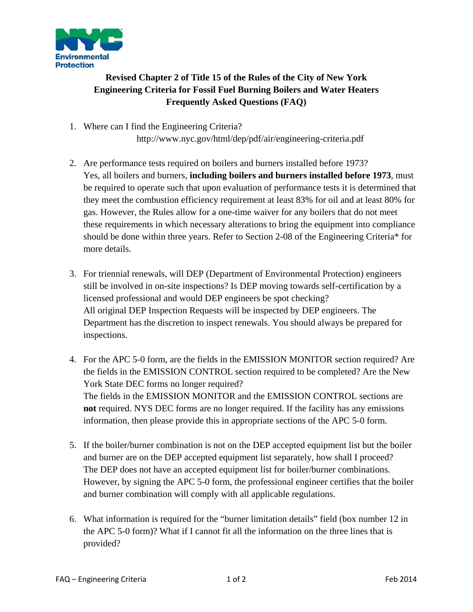

## **Revised Chapter 2 of Title 15 of the Rules of the City of New York Engineering Criteria for Fossil Fuel Burning Boilers and Water Heaters Frequently Asked Questions (FAQ)**

- 1. Where can I find the Engineering Criteria? http://www.nyc.gov/html/dep/pdf/air/engineering-criteria.pdf
- 2. Are performance tests required on boilers and burners installed before 1973? Yes, all boilers and burners, **including boilers and burners installed before 1973**, must be required to operate such that upon evaluation of performance tests it is determined that they meet the combustion efficiency requirement at least 83% for oil and at least 80% for gas. However, the Rules allow for a one-time waiver for any boilers that do not meet these requirements in which necessary alterations to bring the equipment into compliance should be done within three years. Refer to Section 2-08 of the Engineering Criteria\* for more details.
- 3. For triennial renewals, will DEP (Department of Environmental Protection) engineers still be involved in on-site inspections? Is DEP moving towards self-certification by a licensed professional and would DEP engineers be spot checking? All original DEP Inspection Requests will be inspected by DEP engineers. The Department has the discretion to inspect renewals. You should always be prepared for inspections.
- 4. For the APC 5-0 form, are the fields in the EMISSION MONITOR section required? Are the fields in the EMISSION CONTROL section required to be completed? Are the New York State DEC forms no longer required? The fields in the EMISSION MONITOR and the EMISSION CONTROL sections are **not** required. NYS DEC forms are no longer required. If the facility has any emissions information, then please provide this in appropriate sections of the APC 5-0 form.
- 5. If the boiler/burner combination is not on the DEP accepted equipment list but the boiler and burner are on the DEP accepted equipment list separately, how shall I proceed? The DEP does not have an accepted equipment list for boiler/burner combinations. However, by signing the APC 5-0 form, the professional engineer certifies that the boiler and burner combination will comply with all applicable regulations.
- 6. What information is required for the "burner limitation details" field (box number 12 in the APC 5-0 form)? What if I cannot fit all the information on the three lines that is provided?